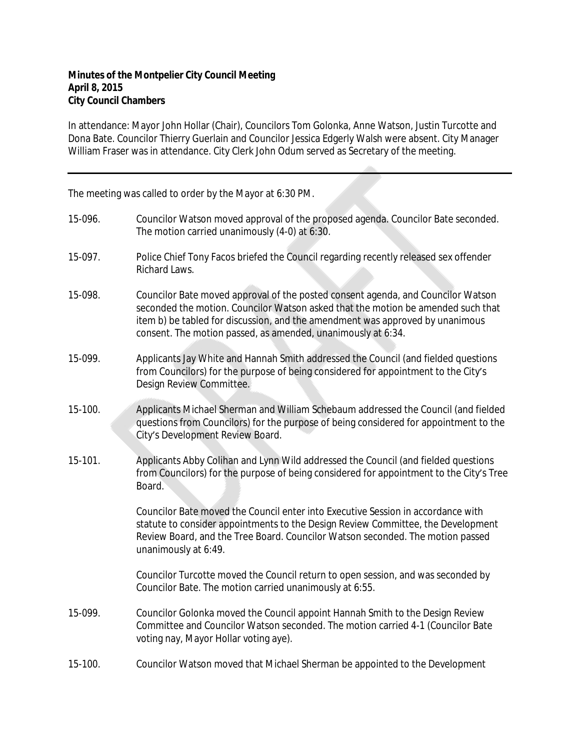In attendance: Mayor John Hollar (Chair), Councilors Tom Golonka, Anne Watson, Justin Turcotte and Dona Bate. Councilor Thierry Guerlain and Councilor Jessica Edgerly Walsh were absent. City Manager William Fraser was in attendance. City Clerk John Odum served as Secretary of the meeting.

The meeting was called to order by the Mayor at 6:30 PM.

| 15-096. | Councilor Watson moved approval of the proposed agenda. Councilor Bate seconded.<br>The motion carried unanimously (4-0) at 6:30.                                                                                                                                                                                     |
|---------|-----------------------------------------------------------------------------------------------------------------------------------------------------------------------------------------------------------------------------------------------------------------------------------------------------------------------|
| 15-097. | Police Chief Tony Facos briefed the Council regarding recently released sex offender<br>Richard Laws.                                                                                                                                                                                                                 |
| 15-098. | Councilor Bate moved approval of the posted consent agenda, and Councilor Watson<br>seconded the motion. Councilor Watson asked that the motion be amended such that<br>item b) be tabled for discussion, and the amendment was approved by unanimous<br>consent. The motion passed, as amended, unanimously at 6:34. |
| 15-099. | Applicants Jay White and Hannah Smith addressed the Council (and fielded questions<br>from Councilors) for the purpose of being considered for appointment to the City's<br>Design Review Committee.                                                                                                                  |
| 15-100. | Applicants Michael Sherman and William Schebaum addressed the Council (and fielded<br>questions from Councilors) for the purpose of being considered for appointment to the<br>City's Development Review Board.                                                                                                       |
| 15-101. | Applicants Abby Colihan and Lynn Wild addressed the Council (and fielded questions<br>from Councilors) for the purpose of being considered for appointment to the City's Tree<br>Board.                                                                                                                               |
|         | Councilor Bate moved the Council enter into Executive Session in accordance with<br>statute to consider appointments to the Design Review Committee, the Development<br>Review Board, and the Tree Board. Councilor Watson seconded. The motion passed<br>unanimously at 6:49.                                        |
|         | Councilor Turcotte moved the Council return to open session, and was seconded by<br>Councilor Bate. The motion carried unanimously at 6:55.                                                                                                                                                                           |
| 15-099. | Councilor Golonka moved the Council appoint Hannah Smith to the Design Review<br>Committee and Councilor Watson seconded. The motion carried 4-1 (Councilor Bate<br>voting nay, Mayor Hollar voting aye).                                                                                                             |
| 15-100. | Councilor Watson moved that Michael Sherman be appointed to the Development                                                                                                                                                                                                                                           |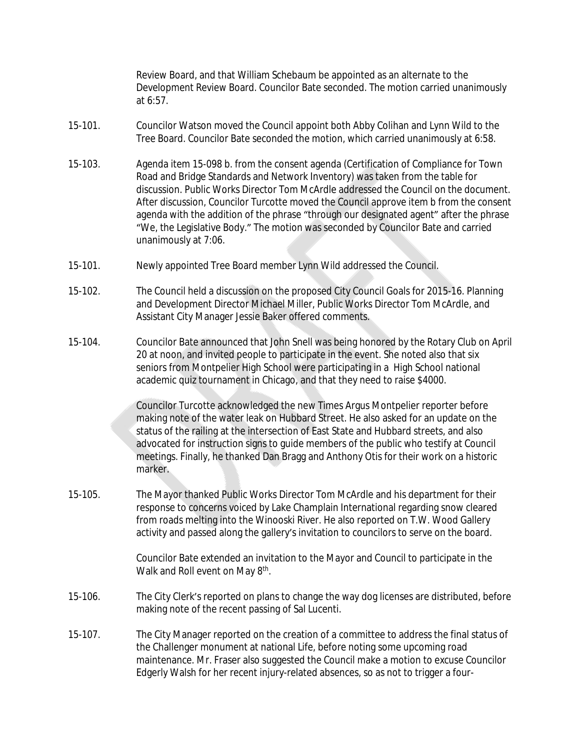Review Board, and that William Schebaum be appointed as an alternate to the Development Review Board. Councilor Bate seconded. The motion carried unanimously at 6:57.

- 15-101. Councilor Watson moved the Council appoint both Abby Colihan and Lynn Wild to the Tree Board. Councilor Bate seconded the motion, which carried unanimously at 6:58.
- 15-103. Agenda item 15-098 b. from the consent agenda (Certification of Compliance for Town Road and Bridge Standards and Network Inventory) was taken from the table for discussion. Public Works Director Tom McArdle addressed the Council on the document. After discussion, Councilor Turcotte moved the Council approve item b from the consent agenda with the addition of the phrase "through our designated agent" after the phrase "We, the Legislative Body." The motion was seconded by Councilor Bate and carried unanimously at 7:06.
- 15-101. Newly appointed Tree Board member Lynn Wild addressed the Council.
- 15-102. The Council held a discussion on the proposed City Council Goals for 2015-16. Planning and Development Director Michael Miller, Public Works Director Tom McArdle, and Assistant City Manager Jessie Baker offered comments.
- 15-104. Councilor Bate announced that John Snell was being honored by the Rotary Club on April 20 at noon, and invited people to participate in the event. She noted also that six seniors from Montpelier High School were participating in a High School national academic quiz tournament in Chicago, and that they need to raise \$4000.

Councilor Turcotte acknowledged the new Times Argus Montpelier reporter before making note of the water leak on Hubbard Street. He also asked for an update on the status of the railing at the intersection of East State and Hubbard streets, and also advocated for instruction signs to guide members of the public who testify at Council meetings. Finally, he thanked Dan Bragg and Anthony Otis for their work on a historic marker.

15-105. The Mayor thanked Public Works Director Tom McArdle and his department for their response to concerns voiced by Lake Champlain International regarding snow cleared from roads melting into the Winooski River. He also reported on T.W. Wood Gallery activity and passed along the gallery's invitation to councilors to serve on the board.

> Councilor Bate extended an invitation to the Mayor and Council to participate in the Walk and Roll event on May 8<sup>th</sup>.

- 15-106. The City Clerk's reported on plans to change the way dog licenses are distributed, before making note of the recent passing of Sal Lucenti.
- 15-107. The City Manager reported on the creation of a committee to address the final status of the Challenger monument at national Life, before noting some upcoming road maintenance. Mr. Fraser also suggested the Council make a motion to excuse Councilor Edgerly Walsh for her recent injury-related absences, so as not to trigger a four-